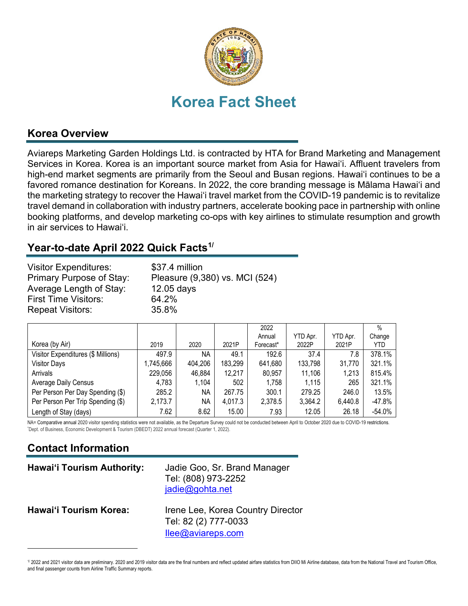

#### **Korea Overview**

Aviareps Marketing Garden Holdings Ltd. is contracted by HTA for Brand Marketing and Management Services in Korea. Korea is an important source market from Asia for Hawai'i. Affluent travelers from high-end market segments are primarily from the Seoul and Busan regions. Hawai'i continues to be a favored romance destination for Koreans. In 2022, the core branding message is Mālama Hawai'i and the marketing strategy to recover the Hawai'i travel market from the COVID-19 pandemic is to revitalize travel demand in collaboration with industry partners, accelerate booking pace in partnership with online booking platforms, and develop marketing co-ops with key airlines to stimulate resumption and growth in air services to Hawai'i.

### **Year-to-date April 2022 Quick Facts[1](#page-0-0)/**

| <b>Visitor Expenditures:</b><br>Primary Purpose of Stay: | \$37.4 million<br>Pleasure (9,380) vs. MCI (524) |
|----------------------------------------------------------|--------------------------------------------------|
| Average Length of Stay:                                  | $12.05$ days                                     |
| <b>First Time Visitors:</b>                              | 64.2%                                            |
| <b>Repeat Visitors:</b>                                  | 35.8%                                            |

|                                    |           |         |         | 2022      |          |          | $\%$     |
|------------------------------------|-----------|---------|---------|-----------|----------|----------|----------|
|                                    |           |         |         | Annual    | YTD Apr. | YTD Apr. | Change   |
| Korea (by Air)                     | 2019      | 2020    | 2021P   | Forecast* | 2022P    | 2021P    | YTD.     |
| Visitor Expenditures (\$ Millions) | 497.9     | NA      | 49.1    | 192.6     | 37.4     | 7.8      | 378.1%   |
| <b>Visitor Days</b>                | 1,745,666 | 404,206 | 183,299 | 641,680   | 133,798  | 31,770   | 321.1%   |
| Arrivals                           | 229,056   | 46,884  | 12,217  | 80,957    | 11,106   | 1,213    | 815.4%   |
| <b>Average Daily Census</b>        | 4,783     | 1,104   | 502     | 1,758     | 1,115    | 265      | 321.1%   |
| Per Person Per Day Spending (\$)   | 285.2     | ΝA      | 267.75  | 300.1     | 279.25   | 246.0    | 13.5%    |
| Per Person Per Trip Spending (\$)  | 2,173.7   | ΝA      | 4,017.3 | 2,378.5   | 3,364.2  | 6,440.8  | $-47.8%$ |
| Length of Stay (days)              | 7.62      | 8.62    | 15.00   | 7.93      | 12.05    | 26.18    | $-54.0%$ |

NA= Comparative annual 2020 visitor spending statistics were not available, as the Departure Survey could not be conducted between April to October 2020 due to COVID-19 restrictions. Dept. of Business, Economic Development & Tourism (DBEDT) 2022 annual forecast (Quarter 1, 2022).

# **Contact Information**

| <b>Hawai'i Tourism Authority:</b> | Jadie Goo, Sr. Brand Manager<br>Tel: (808) 973-2252<br>jadie@gohta.net                    |
|-----------------------------------|-------------------------------------------------------------------------------------------|
| Hawai'i Tourism Korea:            | Irene Lee, Korea Country Director<br>Tel: 82 (2) 777-0033<br>$\textsf{IIee@aviareps.com}$ |

<span id="page-0-0"></span><sup>1/ 2022</sup> and 2021 visitor data are preliminary. 2020 and 2019 visitor data are the final numbers and reflect updated airfare statistics from DIIO Mi Airline database, data from the National Travel and Tourism Office, and final passenger counts from Airline Traffic Summary reports.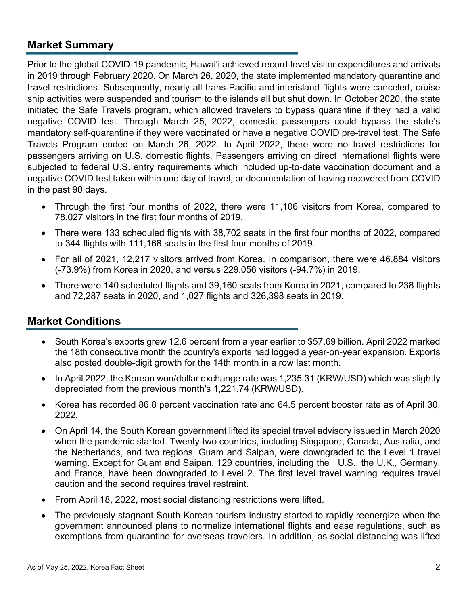#### **Market Summary**

Prior to the global COVID-19 pandemic, Hawai'i achieved record-level visitor expenditures and arrivals in 2019 through February 2020. On March 26, 2020, the state implemented mandatory quarantine and travel restrictions. Subsequently, nearly all trans-Pacific and interisland flights were canceled, cruise ship activities were suspended and tourism to the islands all but shut down. In October 2020, the state initiated the Safe Travels program, which allowed travelers to bypass quarantine if they had a valid negative COVID test. Through March 25, 2022, domestic passengers could bypass the state's mandatory self-quarantine if they were vaccinated or have a negative COVID pre-travel test. The Safe Travels Program ended on March 26, 2022. In April 2022, there were no travel restrictions for passengers arriving on U.S. domestic flights. Passengers arriving on direct international flights were subjected to federal U.S. entry requirements which included up-to-date vaccination document and a negative COVID test taken within one day of travel, or documentation of having recovered from COVID in the past 90 days.

- Through the first four months of 2022, there were 11,106 visitors from Korea, compared to 78,027 visitors in the first four months of 2019.
- There were 133 scheduled flights with 38,702 seats in the first four months of 2022, compared to 344 flights with 111,168 seats in the first four months of 2019.
- For all of 2021, 12,217 visitors arrived from Korea. In comparison, there were 46,884 visitors (-73.9%) from Korea in 2020, and versus 229,056 visitors (-94.7%) in 2019.
- There were 140 scheduled flights and 39,160 seats from Korea in 2021, compared to 238 flights and 72,287 seats in 2020, and 1,027 flights and 326,398 seats in 2019.

#### **Market Conditions**

- South Korea's exports grew 12.6 percent from a year earlier to \$57.69 billion. April 2022 marked the 18th consecutive month the country's exports had logged a year-on-year expansion. Exports also posted double-digit growth for the 14th month in a row last month.
- In April 2022, the Korean won/dollar exchange rate was 1,235.31 (KRW/USD) which was slightly depreciated from the previous month's 1,221.74 (KRW/USD).
- Korea has recorded 86.8 percent vaccination rate and 64.5 percent booster rate as of April 30, 2022.
- On April 14, the South Korean government lifted its special travel advisory issued in March 2020 when the pandemic started. Twenty-two countries, including Singapore, Canada, Australia, and the Netherlands, and two regions, Guam and Saipan, were downgraded to the Level 1 travel warning. Except for Guam and Saipan, 129 countries, including the U.S., the U.K., Germany, and France, have been downgraded to Level 2. The first level travel warning requires travel caution and the second requires travel restraint.
- From April 18, 2022, most social distancing restrictions were lifted.
- The previously stagnant South Korean tourism industry started to rapidly reenergize when the government announced plans to normalize international flights and ease regulations, such as exemptions from quarantine for overseas travelers. In addition, as social distancing was lifted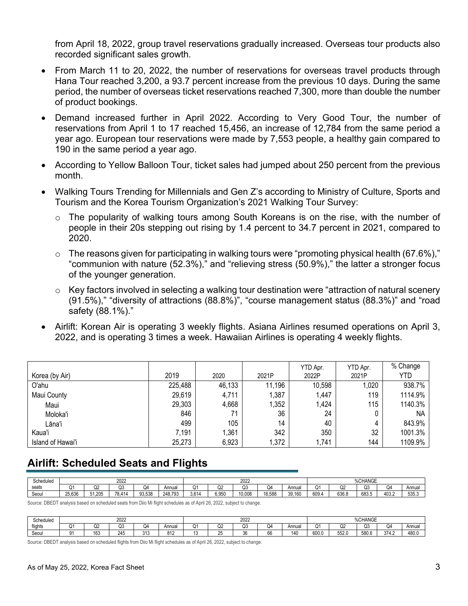from April 18, 2022, group travel reservations gradually increased. Overseas tour products also recorded significant sales growth.

- From March 11 to 20, 2022, the number of reservations for overseas travel products through Hana Tour reached 3,200, a 93.7 percent increase from the previous 10 days. During the same period, the number of overseas ticket reservations reached 7,300, more than double the number of product bookings.
- Demand increased further in April 2022. According to Very Good Tour, the number of reservations from April 1 to 17 reached 15,456, an increase of 12,784 from the same period a year ago. European tour reservations were made by 7,553 people, a healthy gain compared to 190 in the same period a year ago.
- According to Yellow Balloon Tour, ticket sales had jumped about 250 percent from the previous month.
- Walking Tours Trending for Millennials and Gen Z's according to Ministry of Culture, Sports and Tourism and the Korea Tourism Organization's 2021 Walking Tour Survey:
	- o The popularity of walking tours among South Koreans is on the rise, with the number of people in their 20s stepping out rising by 1.4 percent to 34.7 percent in 2021, compared to 2020.
	- $\circ$  The reasons given for participating in walking tours were "promoting physical health (67.6%)," "communion with nature (52.3%)," and "relieving stress (50.9%)," the latter a stronger focus of the younger generation.
	- o Key factors involved in selecting a walking tour destination were "attraction of natural scenery (91.5%)," "diversity of attractions (88.8%)", "course management status (88.3%)" and "road safety (88.1%)."
- Airlift: Korean Air is operating 3 weekly flights. Asiana Airlines resumed operations on April 3, 2022, and is operating 3 times a week. Hawaiian Airlines is operating 4 weekly flights.

|                   |         |        |        | YTD Apr. | YTD Apr. | % Change |
|-------------------|---------|--------|--------|----------|----------|----------|
| Korea (by Air)    | 2019    | 2020   | 2021P  | 2022P    | 2021P    | YTD      |
| O'ahu             | 225,488 | 46,133 | 11,196 | 10,598   | 1,020    | 938.7%   |
| Maui County       | 29,619  | 4,711  | 1,387  | 1,447    | 119      | 1114.9%  |
| Maui              | 29,303  | 4,668  | 1,352  | 1,424    | 115      | 1140.3%  |
| Moloka'i          | 846     | 71     | 36     | 24       |          | NA.      |
| Lāna'i            | 499     | 105    | 14     | 40       |          | 843.9%   |
| Kaua'i            | 7,191   | 1,361  | 342    | 350      | 32       | 1001.3%  |
| Island of Hawai'i | 25,273  | 6,923  | 1,372  | 1,741    | 144      | 1109.9%  |

## **Airlift: Scheduled Seats and Flights**

| Scheduled | 2022        |          |                              | 2022   |         |       |       |             | %CHANGE |              |       |       |              |       |        |
|-----------|-------------|----------|------------------------------|--------|---------|-------|-------|-------------|---------|--------------|-------|-------|--------------|-------|--------|
| seats     | $\sim$<br>U | ∩∩<br>Q2 | $\tilde{\phantom{a}}$<br>سرر | Q4     | Annual  | 0١    | Q2    | $\sim$<br>₩ | Q4      | <b>Annua</b> | Ο1    | Q2    | $\sim$<br>Q3 | (J4   | Annual |
| Seoul     | 25.636      | 51.205   | 78.414                       | 93.538 | 248.793 | 3.614 | 6.950 | 10.008      | 18.588  | 39,160       | 609.4 | 636.8 | 683.5        | 403.2 | 535.3  |

Source: DBEDT analysis based on scheduled seats from Diio Mi flight schedules as of April 26, 2022, subject to change.

| Scheduled      | 2022              |               |         |                      | 2022         |  |              |                                         |      | %CHANGE |       |               |             |       |       |
|----------------|-------------------|---------------|---------|----------------------|--------------|--|--------------|-----------------------------------------|------|---------|-------|---------------|-------------|-------|-------|
| <b>flights</b> |                   | $\sim$<br>WZ. | r.<br>w | ىر ،<br>-            | Annua        |  | $\sim$<br>JZ | $\sim$<br>w                             | . J4 | Annua   | U     | - -<br>∠ی     | $\sim$<br>w | Q4    | Annua |
| Seou           | $^{\circ}$<br>ັບເ | 163           | 245     | $\sim$ $\sim$<br>៴៲៴ | 040<br>ے ا O |  | ້            | $\sim$<br>$\overline{\mathbf{z}}$<br>ບບ | v.   | 140     | 600.0 | rr00<br>552.0 | 580.6       | 374.2 | 480.0 |

Source: DBEDT analysis based on scheduled flights from Diio Mi flight schedules as of April 26, 2022, subject to change.